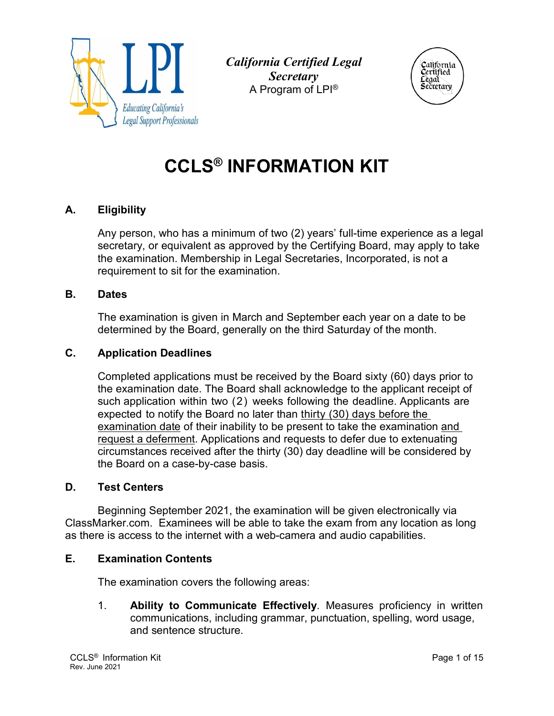

*California Certified Legal Secretary*  A Program of LPI®



# **CCLS® INFORMATION KIT**

# **A. Eligibility**

Any person, who has a minimum of two (2) years' full-time experience as a legal secretary, or equivalent as approved by the Certifying Board, may apply to take the examination. Membership in Legal Secretaries, Incorporated, is not a requirement to sit for the examination.

#### **B. Dates**

The examination is given in March and September each year on a date to be determined by the Board, generally on the third Saturday of the month.

#### **C. Application Deadlines**

Completed applications must be received by the Board sixty (60) days prior to the examination date. The Board shall acknowledge to the applicant receipt of such application within two (2) weeks following the deadline. Applicants are expected to notify the Board no later than thirty (30) days before the examination date of their inability to be present to take the examination and request a deferment. Applications and requests to defer due to extenuating circumstances received after the thirty (30) day deadline will be considered by the Board on a case-by-case basis.

#### **D. Test Centers**

Beginning September 2021, the examination will be given electronically via ClassMarker.com. Examinees will be able to take the exam from any location as long as there is access to the internet with a web-camera and audio capabilities.

#### **E. Examination Contents**

The examination covers the following areas:

1. **Ability to Communicate Effectively**. Measures proficiency in written communications, including grammar, punctuation, spelling, word usage, and sentence structure.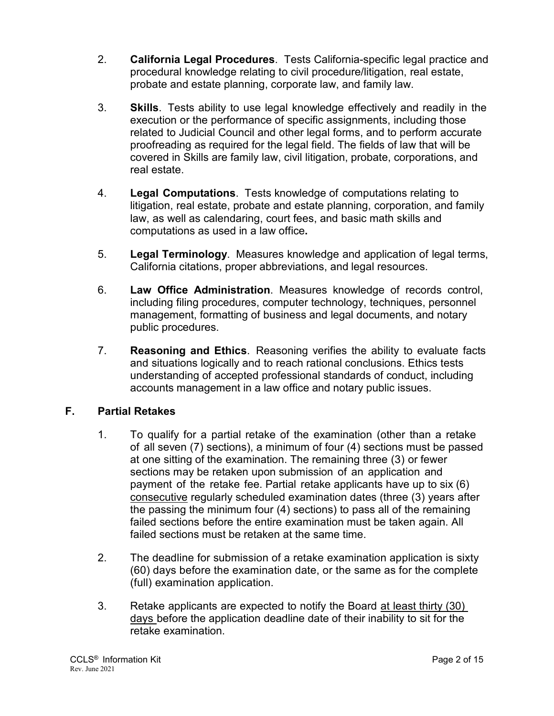- 2. **California Legal Procedures**. Tests California-specific legal practice and procedural knowledge relating to civil procedure/litigation, real estate, probate and estate planning, corporate law, and family law.
- 3. **Skills**. Tests ability to use legal knowledge effectively and readily in the execution or the performance of specific assignments, including those related to Judicial Council and other legal forms, and to perform accurate proofreading as required for the legal field. The fields of law that will be covered in Skills are family law, civil litigation, probate, corporations, and real estate.
- 4. **Legal Computations**. Tests knowledge of computations relating to litigation, real estate, probate and estate planning, corporation, and family law, as well as calendaring, court fees, and basic math skills and computations as used in a law office**.**
- 5. **Legal Terminology**. Measures knowledge and application of legal terms, California citations, proper abbreviations, and legal resources.
- 6. **Law Office Administration**. Measures knowledge of records control, including filing procedures, computer technology, techniques, personnel management, formatting of business and legal documents, and notary public procedures.
- 7. **Reasoning and Ethics**. Reasoning verifies the ability to evaluate facts and situations logically and to reach rational conclusions. Ethics tests understanding of accepted professional standards of conduct, including accounts management in a law office and notary public issues.

# **F. Partial Retakes**

- 1. To qualify for a partial retake of the examination (other than a retake of all seven (7) sections), a minimum of four (4) sections must be passed at one sitting of the examination. The remaining three (3) or fewer sections may be retaken upon submission of an application and payment of the retake fee. Partial retake applicants have up to six (6) consecutive regularly scheduled examination dates (three (3) years after the passing the minimum four (4) sections) to pass all of the remaining failed sections before the entire examination must be taken again. All failed sections must be retaken at the same time.
- 2. The deadline for submission of a retake examination application is sixty (60) days before the examination date, or the same as for the complete (full) examination application.
- 3. Retake applicants are expected to notify the Board at least thirty (30) days before the application deadline date of their inability to sit for the retake examination.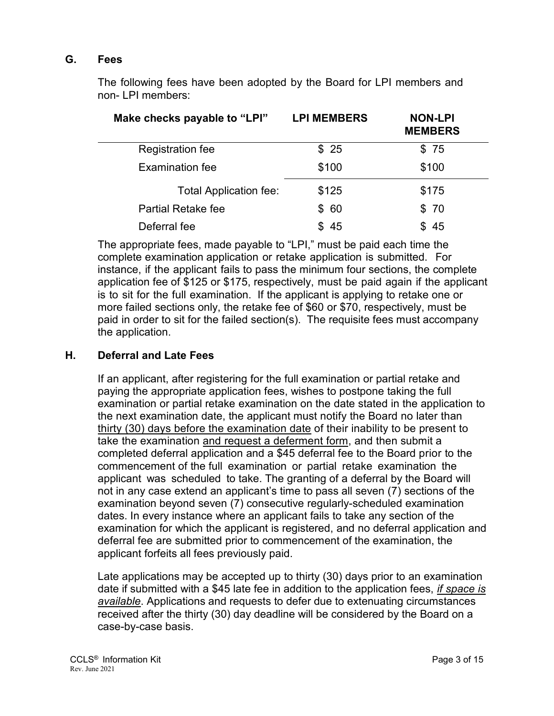#### **G. Fees**

The following fees have been adopted by the Board for LPI members and non- LPI members:

| Make checks payable to "LPI"  | <b>LPI MEMBERS</b> | <b>NON-LPI</b><br><b>MEMBERS</b> |
|-------------------------------|--------------------|----------------------------------|
| <b>Registration fee</b>       | \$25               | \$75                             |
| <b>Examination fee</b>        | \$100              | \$100                            |
| <b>Total Application fee:</b> | \$125              | \$175                            |
| <b>Partial Retake fee</b>     | \$60               | \$70                             |
| Deferral fee                  | 45                 | -45                              |

The appropriate fees, made payable to "LPI," must be paid each time the complete examination application or retake application is submitted. For instance, if the applicant fails to pass the minimum four sections, the complete application fee of \$125 or \$175, respectively, must be paid again if the applicant is to sit for the full examination. If the applicant is applying to retake one or more failed sections only, the retake fee of \$60 or \$70, respectively, must be paid in order to sit for the failed section(s). The requisite fees must accompany the application.

#### **H. Deferral and Late Fees**

If an applicant, after registering for the full examination or partial retake and paying the appropriate application fees, wishes to postpone taking the full examination or partial retake examination on the date stated in the application to the next examination date, the applicant must notify the Board no later than thirty (30) days before the examination date of their inability to be present to take the examination and request a deferment form, and then submit a completed deferral application and a \$45 deferral fee to the Board prior to the commencement of the full examination or partial retake examination the applicant was scheduled to take. The granting of a deferral by the Board will not in any case extend an applicant's time to pass all seven (7) sections of the examination beyond seven (7) consecutive regularly-scheduled examination dates. In every instance where an applicant fails to take any section of the examination for which the applicant is registered, and no deferral application and deferral fee are submitted prior to commencement of the examination, the applicant forfeits all fees previously paid.

Late applications may be accepted up to thirty (30) days prior to an examination date if submitted with a \$45 late fee in addition to the application fees, *if space is available*. Applications and requests to defer due to extenuating circumstances received after the thirty (30) day deadline will be considered by the Board on a case-by-case basis.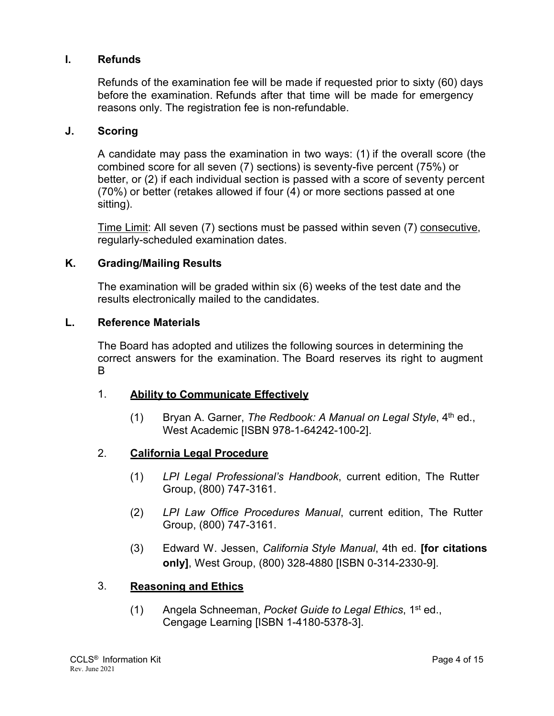#### **I. Refunds**

Refunds of the examination fee will be made if requested prior to sixty (60) days before the examination. Refunds after that time will be made for emergency reasons only. The registration fee is non-refundable.

#### **J. Scoring**

A candidate may pass the examination in two ways: (1) if the overall score (the combined score for all seven (7) sections) is seventy-five percent (75%) or better, or (2) if each individual section is passed with a score of seventy percent (70%) or better (retakes allowed if four (4) or more sections passed at one sitting).

Time Limit: All seven (7) sections must be passed within seven (7) consecutive, regularly-scheduled examination dates.

#### **K. Grading/Mailing Results**

The examination will be graded within six (6) weeks of the test date and the results electronically mailed to the candidates.

#### **L. Reference Materials**

The Board has adopted and utilizes the following sources in determining the correct answers for the examination. The Board reserves its right to augment B

#### 1. **Ability to Communicate Effectively**

(1) Bryan A. Garner, *The Redbook: A Manual on Legal Style*, 4<sup>th</sup> ed., West Academic [ISBN 978-1-64242-100-2].

#### 2. **California Legal Procedure**

- (1) *LPI Legal Professional's Handbook*, current edition, The Rutter Group, (800) 747-3161.
- (2) *LPI Law Office Procedures Manual*, current edition, The Rutter Group, (800) 747-3161.
- (3) Edward W. Jessen, *California Style Manual*, 4th ed. **[for citations only]**, West Group, (800) 328-4880 [ISBN 0-314-2330-9].

#### 3. **Reasoning and Ethics**

(1) Angela Schneeman, *Pocket Guide to Legal Ethics*, 1st ed., Cengage Learning [ISBN 1-4180-5378-3].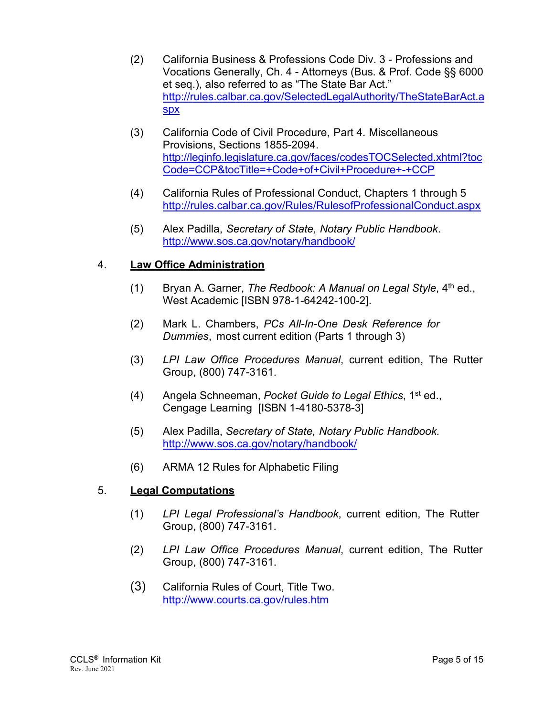- (2) California Business & Professions Code Div. 3 Professions and Vocations Generally, Ch. 4 - Attorneys (Bus. & Prof. Code §§ 6000 et seq.), also referred to as "The State Bar Act." http://rules.calbar.ca.gov/SelectedLegalAuthority/TheStateBarAct.a spx
- (3) California Code of Civil Procedure, Part 4. Miscellaneous Provisions, Sections 1855-2094. http://leginfo.legislature.ca.gov/faces/codesTOCSelected.xhtml?toc Code=CCP&tocTitle=+Code+of+Civil+Procedure+-+CCP
- (4) California Rules of Professional Conduct, Chapters 1 through 5 http://rules.calbar.ca.gov/Rules/RulesofProfessionalConduct.aspx
- (5) Alex Padilla, *Secretary of State, Notary Public Handbook*. http://www.sos.ca.gov/notary/handbook/

# 4. **Law Office Administration**

- (1) Bryan A. Garner, *The Redbook: A Manual on Legal Style*, 4th ed., West Academic [ISBN 978-1-64242-100-2].
- (2) Mark L. Chambers, *PCs All-In-One Desk Reference for Dummies*, most current edition (Parts 1 through 3)
- (3) *LPI Law Office Procedures Manual*, current edition, The Rutter Group, (800) 747-3161.
- (4) Angela Schneeman, *Pocket Guide to Legal Ethics*, 1st ed., Cengage Learning [ISBN 1-4180-5378-3]
- (5) Alex Padilla, *Secretary of State, Notary Public Handbook.* http://www.sos.ca.gov/notary/handbook/
- (6) ARMA 12 Rules for Alphabetic Filing

#### 5. **Legal Computations**

- (1) *LPI Legal Professional's Handbook*, current edition, The Rutter Group, (800) 747-3161.
- (2) *LPI Law Office Procedures Manual*, current edition, The Rutter Group, (800) 747-3161.
- (3) California Rules of Court, Title Two. http://www.courts.ca.gov/rules.htm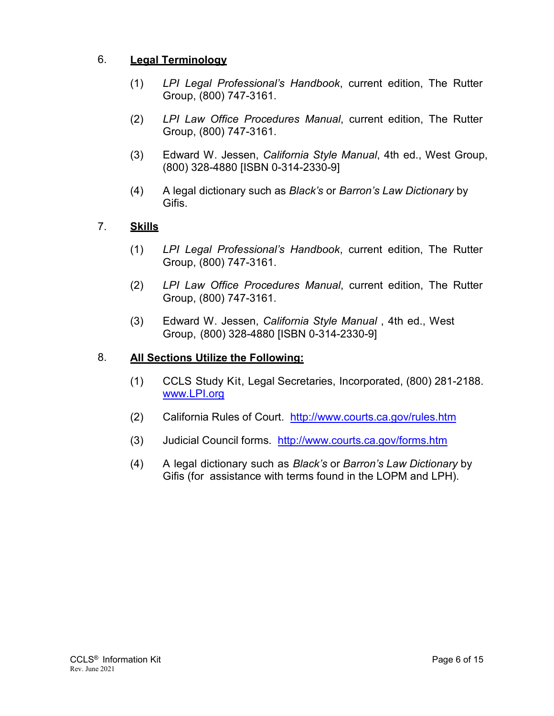# 6. **Legal Terminology**

- (1) *LPI Legal Professional's Handbook*, current edition, The Rutter Group, (800) 747-3161.
- (2) *LPI Law Office Procedures Manual*, current edition, The Rutter Group, (800) 747-3161.
- (3) Edward W. Jessen, *California Style Manual*, 4th ed., West Group, (800) 328-4880 [ISBN 0-314-2330-9]
- (4) A legal dictionary such as *Black's* or *Barron's Law Dictionary* by Gifis.

# 7. **Skills**

- (1) *LPI Legal Professional's Handbook*, current edition, The Rutter Group, (800) 747-3161.
- (2) *LPI Law Office Procedures Manual*, current edition, The Rutter Group, (800) 747-3161.
- (3) Edward W. Jessen, *California Style Manual* , 4th ed., West Group, (800) 328-4880 [ISBN 0-314-2330-9]

# 8. **All Sections Utilize the Following:**

- (1) CCLS Study Kit, Legal Secretaries, Incorporated, (800) 281-2188. www.LPI.org
- (2) California Rules of Court. http://www.courts.ca.gov/rules.htm
- (3) Judicial Council forms. http://www.courts.ca.gov/forms.htm
- (4) A legal dictionary such as *Black's* or *Barron's Law Dictionary* by Gifis (for assistance with terms found in the LOPM and LPH).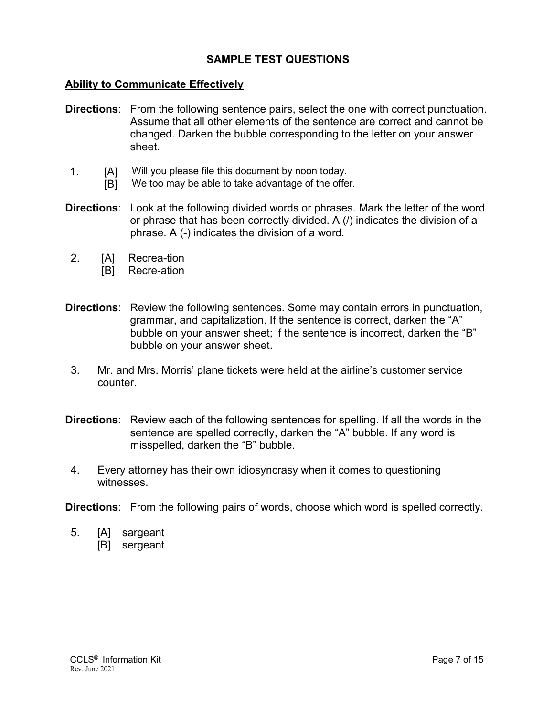#### **SAMPLE TEST QUESTIONS**

#### **Ability to Communicate Effectively**

- **Directions**: From the following sentence pairs, select the one with correct punctuation. Assume that all other elements of the sentence are correct and cannot be changed. Darken the bubble corresponding to the letter on your answer sheet.
- 1. [A] Will you please file this document by noon today.
	- [B] We too may be able to take advantage of the offer.
- **Directions**: Look at the following divided words or phrases. Mark the letter of the word or phrase that has been correctly divided. A (/) indicates the division of a phrase. A (-) indicates the division of a word.
- 2. [A] Recrea-tion
	- [B] Recre-ation
- **Directions**: Review the following sentences. Some may contain errors in punctuation, grammar, and capitalization. If the sentence is correct, darken the "A" bubble on your answer sheet; if the sentence is incorrect, darken the "B" bubble on your answer sheet.
- 3. Mr. and Mrs. Morris' plane tickets were held at the airline's customer service counter.
- **Directions**: Review each of the following sentences for spelling. If all the words in the sentence are spelled correctly, darken the "A" bubble. If any word is misspelled, darken the "B" bubble.
- 4. Every attorney has their own idiosyncrasy when it comes to questioning witnesses.

**Directions**: From the following pairs of words, choose which word is spelled correctly.

- 5. [A] sargeant
	- [B] sergeant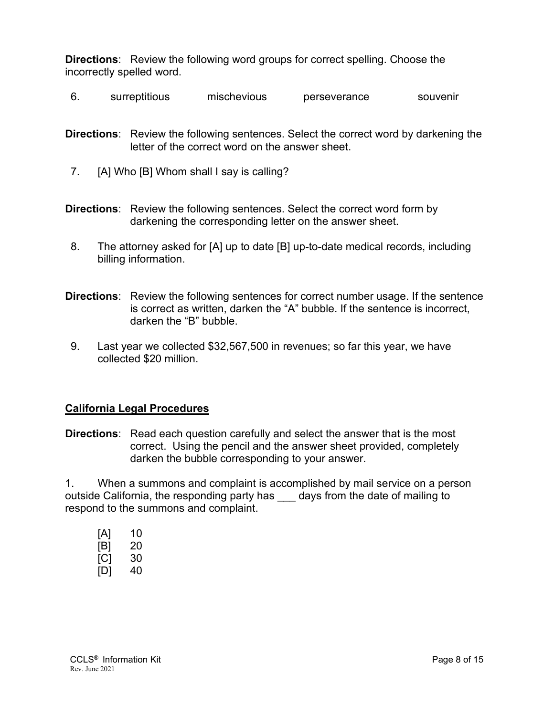**Directions**: Review the following word groups for correct spelling. Choose the incorrectly spelled word.

6. surreptitious mischevious perseverance souvenir

**Directions**: Review the following sentences. Select the correct word by darkening the letter of the correct word on the answer sheet.

- 7. [A] Who [B] Whom shall I say is calling?
- **Directions**: Review the following sentences. Select the correct word form by darkening the corresponding letter on the answer sheet.
- 8. The attorney asked for [A] up to date [B] up-to-date medical records, including billing information.
- **Directions**: Review the following sentences for correct number usage. If the sentence is correct as written, darken the "A" bubble. If the sentence is incorrect, darken the "B" bubble.
- 9. Last year we collected \$32,567,500 in revenues; so far this year, we have collected \$20 million.

#### **California Legal Procedures**

**Directions**: Read each question carefully and select the answer that is the most correct. Using the pencil and the answer sheet provided, completely darken the bubble corresponding to your answer.

1. When a summons and complaint is accomplished by mail service on a person outside California, the responding party has days from the date of mailing to respond to the summons and complaint.

| [A] | 10 |
|-----|----|
| [B] | 20 |
| [C] | 30 |
| [D] | 40 |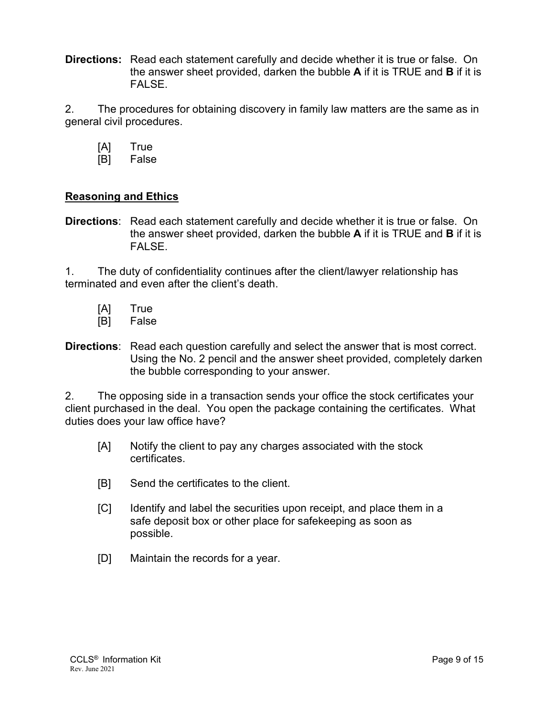**Directions:** Read each statement carefully and decide whether it is true or false. On the answer sheet provided, darken the bubble **A** if it is TRUE and **B** if it is FALSE.

2. The procedures for obtaining discovery in family law matters are the same as in general civil procedures.

- [A] True
- [B] False

# **Reasoning and Ethics**

**Directions**: Read each statement carefully and decide whether it is true or false. On the answer sheet provided, darken the bubble **A** if it is TRUE and **B** if it is FALSE.

1. The duty of confidentiality continues after the client/lawyer relationship has terminated and even after the client's death.

- [A] True
- [B] False
- **Directions**: Read each question carefully and select the answer that is most correct. Using the No. 2 pencil and the answer sheet provided, completely darken the bubble corresponding to your answer.

2. The opposing side in a transaction sends your office the stock certificates your client purchased in the deal. You open the package containing the certificates. What duties does your law office have?

- [A] Notify the client to pay any charges associated with the stock certificates.
- [B] Send the certificates to the client.
- [C] Identify and label the securities upon receipt, and place them in a safe deposit box or other place for safekeeping as soon as possible.
- [D] Maintain the records for a year.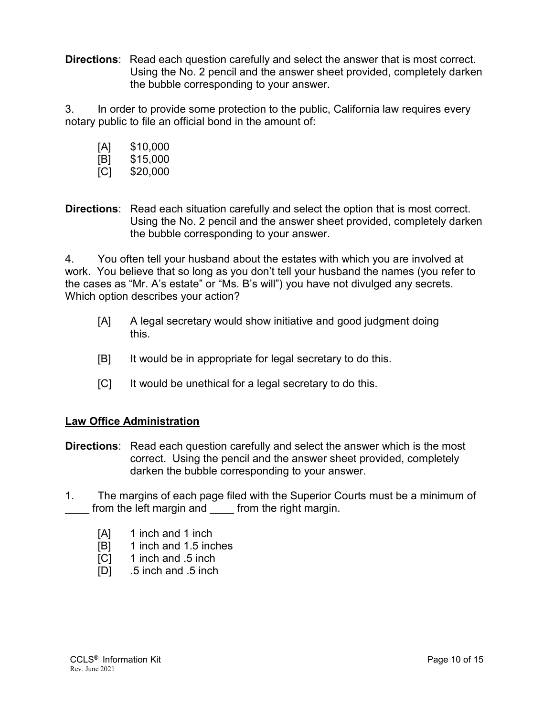**Directions**: Read each question carefully and select the answer that is most correct. Using the No. 2 pencil and the answer sheet provided, completely darken the bubble corresponding to your answer.

3. In order to provide some protection to the public, California law requires every notary public to file an official bond in the amount of:

- [A] \$10,000
- [B] \$15,000
- [C] \$20,000

**Directions**: Read each situation carefully and select the option that is most correct. Using the No. 2 pencil and the answer sheet provided, completely darken the bubble corresponding to your answer.

4. You often tell your husband about the estates with which you are involved at work. You believe that so long as you don't tell your husband the names (you refer to the cases as "Mr. A's estate" or "Ms. B's will") you have not divulged any secrets. Which option describes your action?

- [A] A legal secretary would show initiative and good judgment doing this.
- [B] It would be in appropriate for legal secretary to do this.
- [C] It would be unethical for a legal secretary to do this.

# **Law Office Administration**

- **Directions**: Read each question carefully and select the answer which is the most correct. Using the pencil and the answer sheet provided, completely darken the bubble corresponding to your answer.
- 1. The margins of each page filed with the Superior Courts must be a minimum of from the left margin and from the right margin.
	- [A] 1 inch and 1 inch
	- [B] 1 inch and 1.5 inches
	- [C] 1 inch and .5 inch
	- [D] .5 inch and .5 inch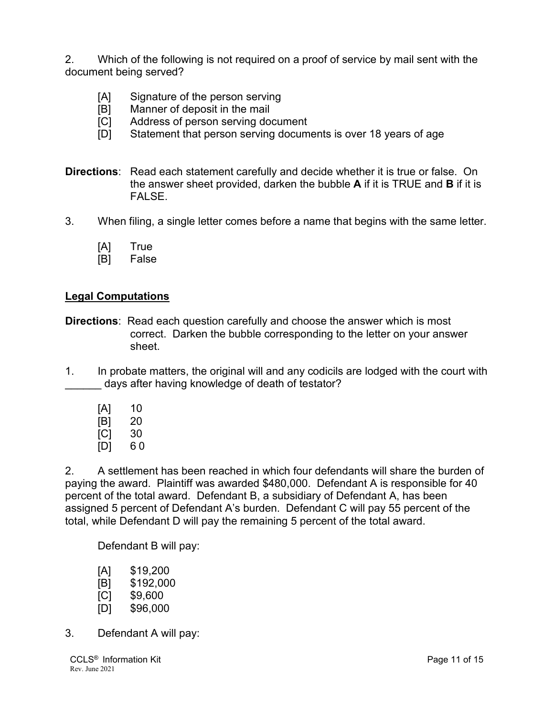2. Which of the following is not required on a proof of service by mail sent with the document being served?

- [A] Signature of the person serving
- [B] Manner of deposit in the mail
- [C] Address of person serving document
- [D] Statement that person serving documents is over 18 years of age
- **Directions**: Read each statement carefully and decide whether it is true or false. On the answer sheet provided, darken the bubble **A** if it is TRUE and **B** if it is **FALSE**
- 3. When filing, a single letter comes before a name that begins with the same letter.
	- [A] True
	- [B] False

#### **Legal Computations**

- **Directions**: Read each question carefully and choose the answer which is most correct. Darken the bubble corresponding to the letter on your answer sheet.
- 1. In probate matters, the original will and any codicils are lodged with the court with days after having knowledge of death of testator?
	- [A] 10 [B] 20 [C] 30 [D] 6 0

2. A settlement has been reached in which four defendants will share the burden of paying the award. Plaintiff was awarded \$480,000. Defendant A is responsible for 40 percent of the total award. Defendant B, a subsidiary of Defendant A, has been assigned 5 percent of Defendant A's burden. Defendant C will pay 55 percent of the total, while Defendant D will pay the remaining 5 percent of the total award.

Defendant B will pay:

- [A] \$19,200
- [B] \$192,000
- [C] \$9,600
- [D] \$96,000
- 3. Defendant A will pay: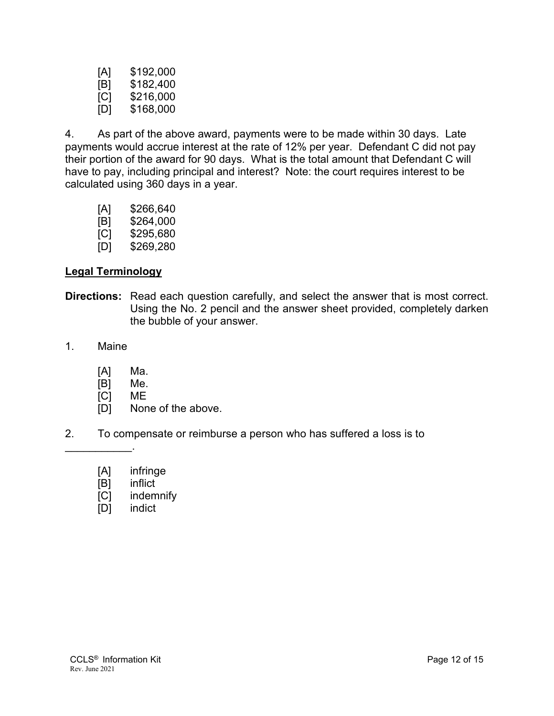| [A] | \$192,000 |
|-----|-----------|
| [B] | \$182,400 |
| [C] | \$216,000 |
| [D] | \$168,000 |

4. As part of the above award, payments were to be made within 30 days. Late payments would accrue interest at the rate of 12% per year. Defendant C did not pay their portion of the award for 90 days. What is the total amount that Defendant C will have to pay, including principal and interest? Note: the court requires interest to be calculated using 360 days in a year.

- [A] \$266,640
- [B] \$264,000
- [C] \$295,680
- [D] \$269,280

# **Legal Terminology**

- **Directions:** Read each question carefully, and select the answer that is most correct. Using the No. 2 pencil and the answer sheet provided, completely darken the bubble of your answer.
- 1. Maine

 $\mathcal{L}_\text{max}$  and  $\mathcal{L}_\text{max}$ 

- [A] Ma.
- [B] Me.
- [C] ME
- [D] None of the above.
- 2. To compensate or reimburse a person who has suffered a loss is to
	- [A] infringe
	- [B] inflict
	- [C] indemnify
	- [D] indict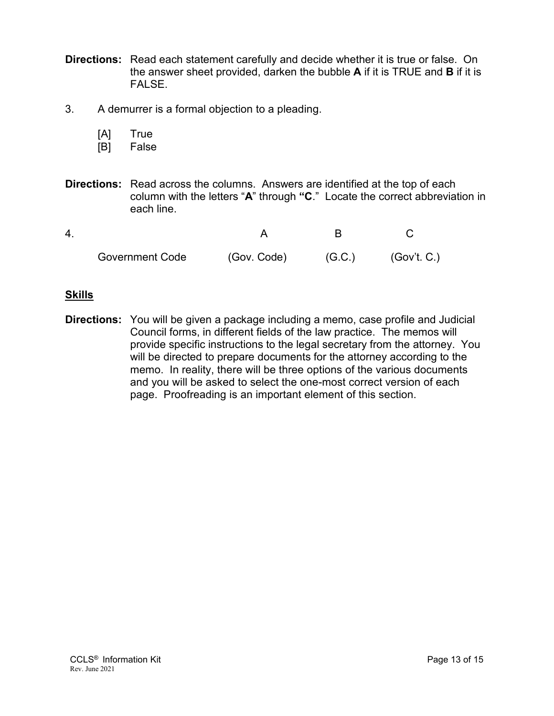- **Directions:** Read each statement carefully and decide whether it is true or false. On the answer sheet provided, darken the bubble **A** if it is TRUE and **B** if it is FALSE.
- 3. A demurrer is a formal objection to a pleading.
	- [A] True
	- [B] False
- **Directions:** Read across the columns. Answers are identified at the top of each column with the letters "**A**" through **"C**." Locate the correct abbreviation in each line.

| <b>Government Code</b> | (Gov. Code) | (G.C.) | (Gov't. C.) |
|------------------------|-------------|--------|-------------|

#### **Skills**

**Directions:** You will be given a package including a memo, case profile and Judicial Council forms, in different fields of the law practice. The memos will provide specific instructions to the legal secretary from the attorney. You will be directed to prepare documents for the attorney according to the memo. In reality, there will be three options of the various documents and you will be asked to select the one-most correct version of each page. Proofreading is an important element of this section.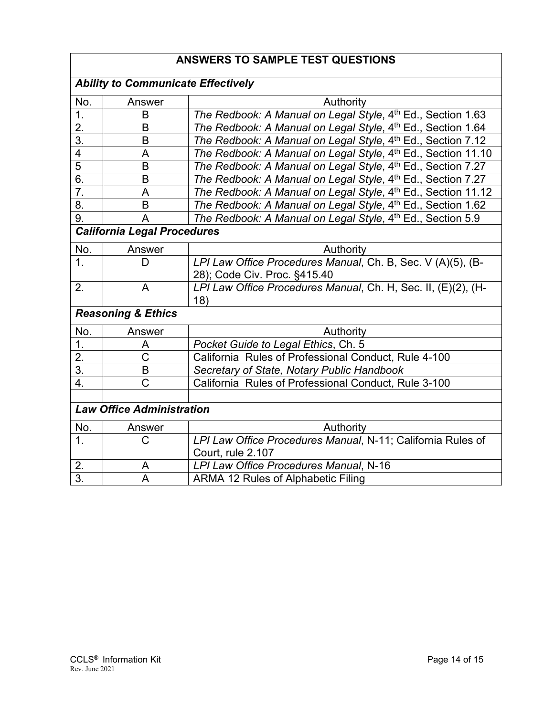# **ANSWERS TO SAMPLE TEST QUESTIONS**

| <b>Ability to Communicate Effectively</b> |                               |                                                                                             |  |
|-------------------------------------------|-------------------------------|---------------------------------------------------------------------------------------------|--|
| No.                                       | Answer                        | Authority                                                                                   |  |
| 1.                                        | B                             | The Redbook: A Manual on Legal Style, 4th Ed., Section 1.63                                 |  |
| $\overline{2}$ .                          | B                             | The Redbook: A Manual on Legal Style, 4th Ed., Section 1.64                                 |  |
| $\overline{3}$ .                          | B                             | The Redbook: A Manual on Legal Style, 4th Ed., Section 7.12                                 |  |
| $\overline{4}$                            | A                             | The Redbook: A Manual on Legal Style, 4th Ed., Section 11.10                                |  |
| $\overline{5}$                            | B                             | The Redbook: A Manual on Legal Style, 4th Ed., Section 7.27                                 |  |
| $\overline{6}$ .                          | B                             | The Redbook: A Manual on Legal Style, 4th Ed., Section 7.27                                 |  |
| $\overline{7}$ .                          | A                             | The Redbook: A Manual on Legal Style, 4th Ed., Section 11.12                                |  |
| $\overline{8}$ .                          | B                             | The Redbook: A Manual on Legal Style, 4th Ed., Section 1.62                                 |  |
| 9.                                        | A                             | The Redbook: A Manual on Legal Style, 4th Ed., Section 5.9                                  |  |
| <b>California Legal Procedures</b>        |                               |                                                                                             |  |
| No.                                       | Answer                        | Authority                                                                                   |  |
| 1.                                        | D                             | LPI Law Office Procedures Manual, Ch. B, Sec. V (A)(5), (B-<br>28); Code Civ. Proc. §415.40 |  |
| 2.                                        | A                             | LPI Law Office Procedures Manual, Ch. H, Sec. II, (E)(2), (H-<br>18)                        |  |
|                                           | <b>Reasoning &amp; Ethics</b> |                                                                                             |  |
| No.                                       | Answer                        | Authority                                                                                   |  |
| 1.                                        | A                             | Pocket Guide to Legal Ethics, Ch. 5                                                         |  |
| $\overline{2}$ .                          | C                             | California Rules of Professional Conduct, Rule 4-100                                        |  |
| $\overline{3}$ .                          | $\mathsf B$                   | Secretary of State, Notary Public Handbook                                                  |  |
| 4.                                        | $\overline{C}$                | California Rules of Professional Conduct, Rule 3-100                                        |  |
|                                           |                               |                                                                                             |  |
| <b>Law Office Administration</b>          |                               |                                                                                             |  |
| No.                                       | Answer                        | Authority                                                                                   |  |
| $\mathbf 1$ .                             | С                             | LPI Law Office Procedures Manual, N-11; California Rules of                                 |  |
|                                           |                               | Court, rule 2.107                                                                           |  |
| 2.                                        | A                             | LPI Law Office Procedures Manual, N-16                                                      |  |
| $\overline{3}$ .                          | A                             | ARMA 12 Rules of Alphabetic Filing                                                          |  |